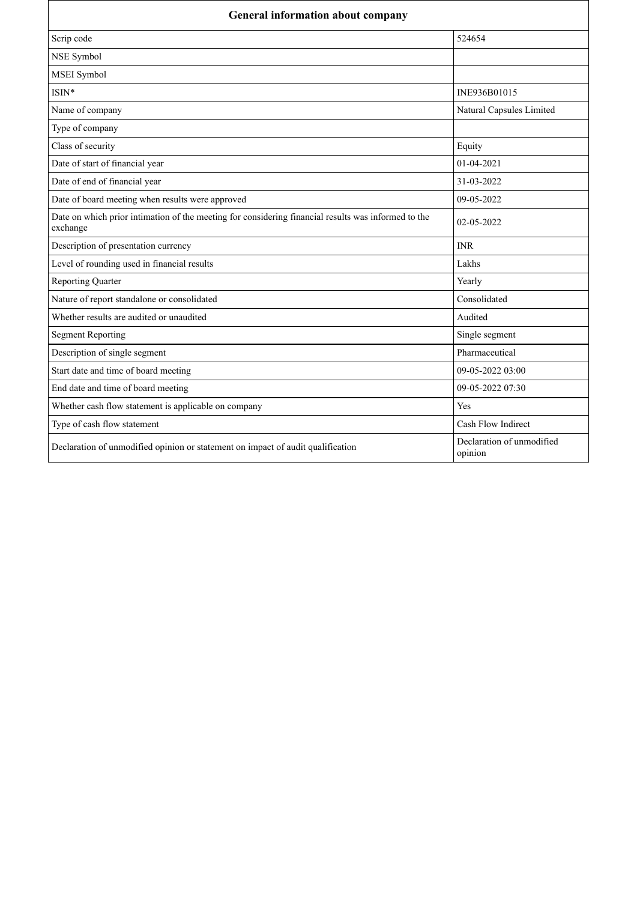| <b>General information about company</b>                                                                        |                                      |
|-----------------------------------------------------------------------------------------------------------------|--------------------------------------|
| Scrip code                                                                                                      | 524654                               |
| NSE Symbol                                                                                                      |                                      |
| MSEI Symbol                                                                                                     |                                      |
| $ISIN*$                                                                                                         | INE936B01015                         |
| Name of company                                                                                                 | Natural Capsules Limited             |
| Type of company                                                                                                 |                                      |
| Class of security                                                                                               | Equity                               |
| Date of start of financial year                                                                                 | 01-04-2021                           |
| Date of end of financial year                                                                                   | 31-03-2022                           |
| Date of board meeting when results were approved                                                                | 09-05-2022                           |
| Date on which prior intimation of the meeting for considering financial results was informed to the<br>exchange | 02-05-2022                           |
| Description of presentation currency                                                                            | <b>INR</b>                           |
| Level of rounding used in financial results                                                                     | Lakhs                                |
| <b>Reporting Quarter</b>                                                                                        | Yearly                               |
| Nature of report standalone or consolidated                                                                     | Consolidated                         |
| Whether results are audited or unaudited                                                                        | Audited                              |
| <b>Segment Reporting</b>                                                                                        | Single segment                       |
| Description of single segment                                                                                   | Pharmaceutical                       |
| Start date and time of board meeting                                                                            | 09-05-2022 03:00                     |
| End date and time of board meeting                                                                              | 09-05-2022 07:30                     |
| Whether cash flow statement is applicable on company                                                            | Yes                                  |
| Type of cash flow statement                                                                                     | Cash Flow Indirect                   |
| Declaration of unmodified opinion or statement on impact of audit qualification                                 | Declaration of unmodified<br>opinion |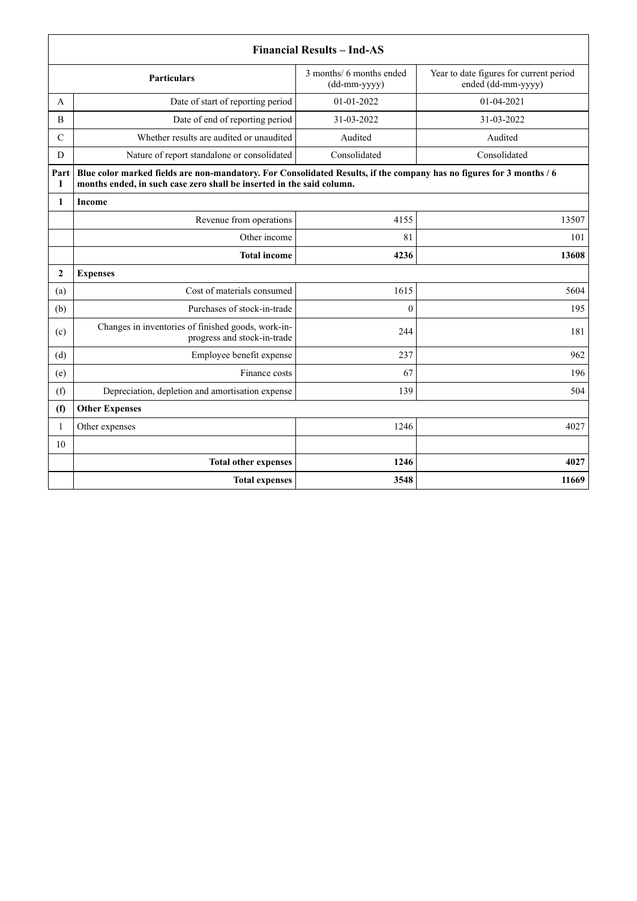|                | <b>Financial Results - Ind-AS</b>                                                                                                                                                             |                                          |                                                               |  |
|----------------|-----------------------------------------------------------------------------------------------------------------------------------------------------------------------------------------------|------------------------------------------|---------------------------------------------------------------|--|
|                | <b>Particulars</b>                                                                                                                                                                            | 3 months/ 6 months ended<br>(dd-mm-yyyy) | Year to date figures for current period<br>ended (dd-mm-yyyy) |  |
| A              | Date of start of reporting period                                                                                                                                                             | 01-01-2022                               | 01-04-2021                                                    |  |
| B              | Date of end of reporting period                                                                                                                                                               | 31-03-2022                               | 31-03-2022                                                    |  |
| $\mathcal{C}$  | Whether results are audited or unaudited                                                                                                                                                      | Audited                                  | Audited                                                       |  |
| D              | Nature of report standalone or consolidated                                                                                                                                                   | Consolidated                             | Consolidated                                                  |  |
| Part<br>I      | Blue color marked fields are non-mandatory. For Consolidated Results, if the company has no figures for 3 months / 6<br>months ended, in such case zero shall be inserted in the said column. |                                          |                                                               |  |
| 1              | Income                                                                                                                                                                                        |                                          |                                                               |  |
|                | Revenue from operations                                                                                                                                                                       | 4155                                     | 13507                                                         |  |
|                | Other income                                                                                                                                                                                  | 81                                       | 101                                                           |  |
|                | <b>Total income</b>                                                                                                                                                                           | 4236                                     | 13608                                                         |  |
| $\overline{2}$ | <b>Expenses</b>                                                                                                                                                                               |                                          |                                                               |  |
| (a)            | Cost of materials consumed                                                                                                                                                                    | 1615                                     | 5604                                                          |  |
| (b)            | Purchases of stock-in-trade                                                                                                                                                                   | $\theta$                                 | 195                                                           |  |
| (c)            | Changes in inventories of finished goods, work-in-<br>progress and stock-in-trade                                                                                                             | 244                                      | 181                                                           |  |
| (d)            | Employee benefit expense                                                                                                                                                                      | 237                                      | 962                                                           |  |
| (e)            | Finance costs                                                                                                                                                                                 | 67                                       | 196                                                           |  |
| (f)            | Depreciation, depletion and amortisation expense                                                                                                                                              | 139                                      | 504                                                           |  |
| (f)            | <b>Other Expenses</b>                                                                                                                                                                         |                                          |                                                               |  |
| 1              | Other expenses                                                                                                                                                                                | 1246                                     | 4027                                                          |  |
| 10             |                                                                                                                                                                                               |                                          |                                                               |  |
|                | <b>Total other expenses</b>                                                                                                                                                                   | 1246                                     | 4027                                                          |  |
|                | <b>Total expenses</b>                                                                                                                                                                         | 3548                                     | 11669                                                         |  |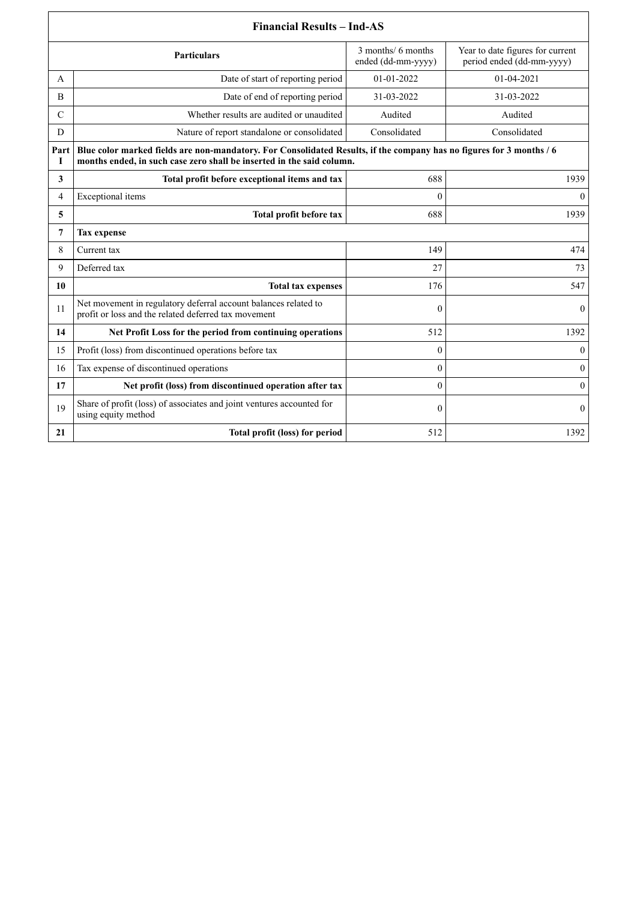| <b>Financial Results - Ind-AS</b> |                                                                                                                                                                                               |                                          |                                                               |
|-----------------------------------|-----------------------------------------------------------------------------------------------------------------------------------------------------------------------------------------------|------------------------------------------|---------------------------------------------------------------|
|                                   | <b>Particulars</b>                                                                                                                                                                            | 3 months/ 6 months<br>ended (dd-mm-yyyy) | Year to date figures for current<br>period ended (dd-mm-yyyy) |
| A                                 | Date of start of reporting period                                                                                                                                                             | 01-01-2022                               | 01-04-2021                                                    |
| B                                 | Date of end of reporting period                                                                                                                                                               | 31-03-2022                               | 31-03-2022                                                    |
| $\mathcal{C}$                     | Whether results are audited or unaudited                                                                                                                                                      | Audited                                  | Audited                                                       |
| D                                 | Nature of report standalone or consolidated                                                                                                                                                   | Consolidated                             | Consolidated                                                  |
| Part<br>1                         | Blue color marked fields are non-mandatory. For Consolidated Results, if the company has no figures for 3 months / 6<br>months ended, in such case zero shall be inserted in the said column. |                                          |                                                               |
| 3                                 | Total profit before exceptional items and tax                                                                                                                                                 | 688                                      | 1939                                                          |
| $\overline{4}$                    | Exceptional items                                                                                                                                                                             | $\theta$                                 | $\theta$                                                      |
| 5                                 | Total profit before tax                                                                                                                                                                       | 688                                      | 1939                                                          |
| $\overline{7}$                    | <b>Tax expense</b>                                                                                                                                                                            |                                          |                                                               |
| 8                                 | Current tax                                                                                                                                                                                   | 149                                      | 474                                                           |
| 9                                 | Deferred tax                                                                                                                                                                                  | 27                                       | 73                                                            |
| 10                                | <b>Total tax expenses</b>                                                                                                                                                                     | 176                                      | 547                                                           |
| 11                                | Net movement in regulatory deferral account balances related to<br>profit or loss and the related deferred tax movement                                                                       | $\mathbf{0}$                             | $\mathbf{0}$                                                  |
| 14                                | Net Profit Loss for the period from continuing operations                                                                                                                                     | 512                                      | 1392                                                          |
| 15                                | Profit (loss) from discontinued operations before tax                                                                                                                                         | $\theta$                                 | $\mathbf{0}$                                                  |
| 16                                | Tax expense of discontinued operations                                                                                                                                                        | $\theta$                                 | $\mathbf{0}$                                                  |
| 17                                | Net profit (loss) from discontinued operation after tax                                                                                                                                       | $\mathbf{0}$                             | $\overline{0}$                                                |
| 19                                | Share of profit (loss) of associates and joint ventures accounted for<br>using equity method                                                                                                  | $\theta$                                 | $\mathbf{0}$                                                  |
| 21                                | Total profit (loss) for period                                                                                                                                                                | 512                                      | 1392                                                          |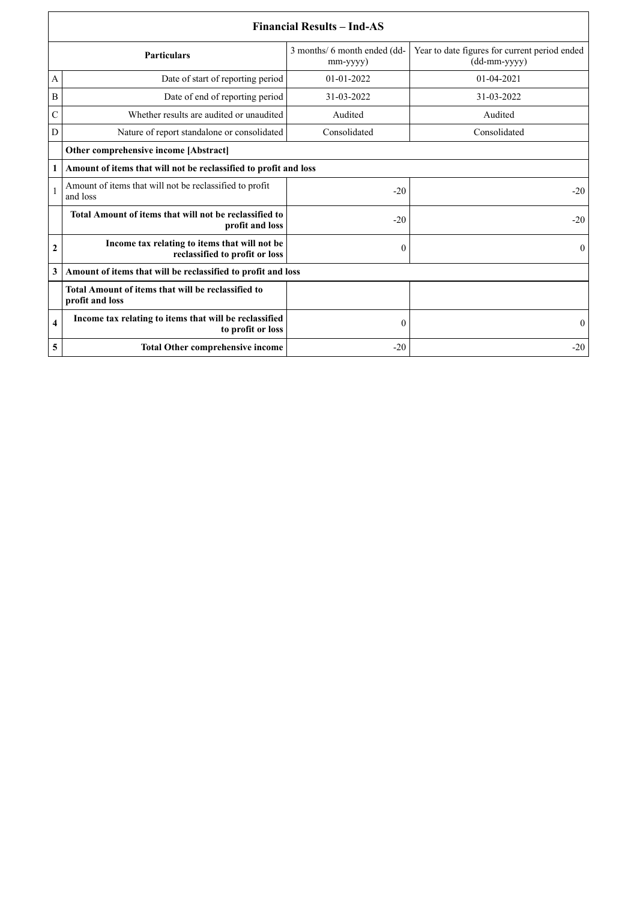|                  | <b>Financial Results – Ind-AS</b>                                               |                                          |                                                               |  |  |
|------------------|---------------------------------------------------------------------------------|------------------------------------------|---------------------------------------------------------------|--|--|
|                  | <b>Particulars</b>                                                              | 3 months/ 6 month ended (dd-<br>mm-yyyy) | Year to date figures for current period ended<br>(dd-mm-yyyy) |  |  |
| A                | Date of start of reporting period                                               | $01-01-2022$                             | 01-04-2021                                                    |  |  |
| B                | Date of end of reporting period                                                 | 31-03-2022                               | 31-03-2022                                                    |  |  |
| $\mathcal{C}$    | Whether results are audited or unaudited                                        | Audited                                  | Audited                                                       |  |  |
| D                | Nature of report standalone or consolidated                                     | Consolidated                             | Consolidated                                                  |  |  |
|                  | Other comprehensive income [Abstract]                                           |                                          |                                                               |  |  |
| 1                | Amount of items that will not be reclassified to profit and loss                |                                          |                                                               |  |  |
|                  | Amount of items that will not be reclassified to profit<br>and loss             | $-20$                                    | $-20$                                                         |  |  |
|                  | Total Amount of items that will not be reclassified to<br>profit and loss       | $-20$                                    | $-20$                                                         |  |  |
| $\boldsymbol{2}$ | Income tax relating to items that will not be<br>reclassified to profit or loss | $\theta$                                 | $\theta$                                                      |  |  |
| 3                | Amount of items that will be reclassified to profit and loss                    |                                          |                                                               |  |  |
|                  | Total Amount of items that will be reclassified to<br>profit and loss           |                                          |                                                               |  |  |
| 4                | Income tax relating to items that will be reclassified<br>to profit or loss     | $\boldsymbol{0}$                         | $\Omega$                                                      |  |  |
| 5                | <b>Total Other comprehensive income</b>                                         | $-20$                                    | $-20$                                                         |  |  |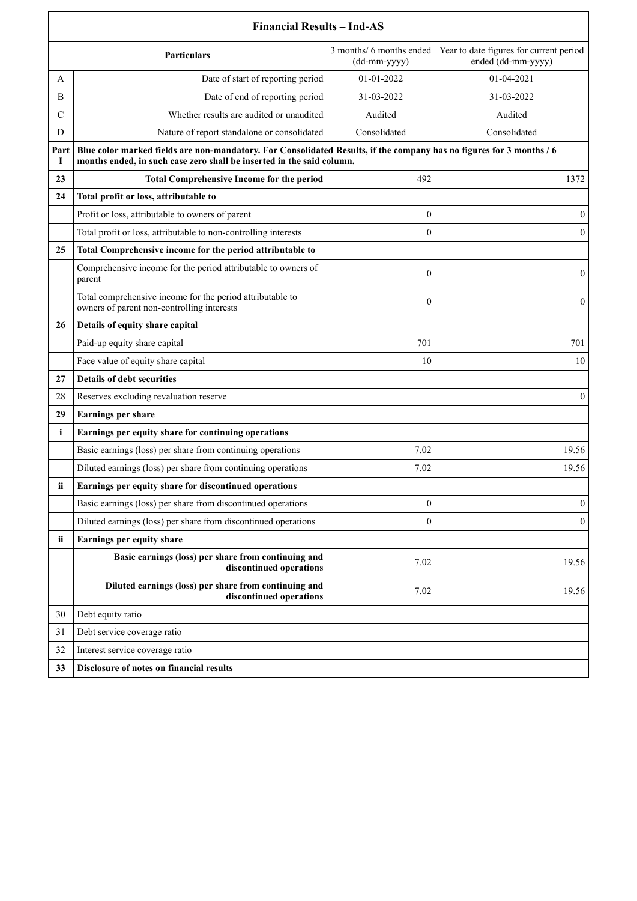|               | <b>Financial Results - Ind-AS</b>                                                                                                                                                             |                                          |                                                               |  |
|---------------|-----------------------------------------------------------------------------------------------------------------------------------------------------------------------------------------------|------------------------------------------|---------------------------------------------------------------|--|
|               | <b>Particulars</b>                                                                                                                                                                            | 3 months/ 6 months ended<br>(dd-mm-yyyy) | Year to date figures for current period<br>ended (dd-mm-yyyy) |  |
| A             | Date of start of reporting period                                                                                                                                                             | 01-01-2022                               | 01-04-2021                                                    |  |
| B             | Date of end of reporting period                                                                                                                                                               | 31-03-2022                               | 31-03-2022                                                    |  |
| $\mathcal{C}$ | Whether results are audited or unaudited                                                                                                                                                      | Audited                                  | Audited                                                       |  |
| D             | Nature of report standalone or consolidated                                                                                                                                                   | Consolidated                             | Consolidated                                                  |  |
| Part<br>1     | Blue color marked fields are non-mandatory. For Consolidated Results, if the company has no figures for 3 months / 6<br>months ended, in such case zero shall be inserted in the said column. |                                          |                                                               |  |
| 23            | <b>Total Comprehensive Income for the period</b>                                                                                                                                              | 492                                      | 1372                                                          |  |
| 24            | Total profit or loss, attributable to                                                                                                                                                         |                                          |                                                               |  |
|               | Profit or loss, attributable to owners of parent                                                                                                                                              | 0                                        | $\mathbf{0}$                                                  |  |
|               | Total profit or loss, attributable to non-controlling interests                                                                                                                               | $\theta$                                 | $\mathbf{0}$                                                  |  |
| 25            | Total Comprehensive income for the period attributable to                                                                                                                                     |                                          |                                                               |  |
|               | Comprehensive income for the period attributable to owners of<br>parent                                                                                                                       | $\mathbf{0}$                             | $\mathbf{0}$                                                  |  |
|               | Total comprehensive income for the period attributable to<br>owners of parent non-controlling interests                                                                                       | $\boldsymbol{0}$                         | $\overline{0}$                                                |  |
| 26            | Details of equity share capital                                                                                                                                                               |                                          |                                                               |  |
|               | Paid-up equity share capital                                                                                                                                                                  | 701                                      | 701                                                           |  |
|               | Face value of equity share capital                                                                                                                                                            | 10                                       | 10                                                            |  |
| 27            | Details of debt securities                                                                                                                                                                    |                                          |                                                               |  |
| 28            | Reserves excluding revaluation reserve                                                                                                                                                        |                                          | $\mathbf{0}$                                                  |  |
| 29            | Earnings per share                                                                                                                                                                            |                                          |                                                               |  |
| $\mathbf{i}$  | Earnings per equity share for continuing operations                                                                                                                                           |                                          |                                                               |  |
|               | Basic earnings (loss) per share from continuing operations                                                                                                                                    | 7.02                                     | 19.56                                                         |  |
|               | Diluted earnings (loss) per share from continuing operations                                                                                                                                  | 7.02                                     | 19.56                                                         |  |
| ii            | Earnings per equity share for discontinued operations                                                                                                                                         |                                          |                                                               |  |
|               | Basic earnings (loss) per share from discontinued operations                                                                                                                                  | $\boldsymbol{0}$                         | $\overline{0}$                                                |  |
|               | Diluted earnings (loss) per share from discontinued operations                                                                                                                                | $\mathbf{0}$                             | $\mathbf{0}$                                                  |  |
| ii            | Earnings per equity share                                                                                                                                                                     |                                          |                                                               |  |
|               | Basic earnings (loss) per share from continuing and<br>discontinued operations                                                                                                                | 7.02                                     | 19.56                                                         |  |
|               | Diluted earnings (loss) per share from continuing and<br>discontinued operations                                                                                                              | 7.02                                     | 19.56                                                         |  |
| 30            | Debt equity ratio                                                                                                                                                                             |                                          |                                                               |  |
| 31            | Debt service coverage ratio                                                                                                                                                                   |                                          |                                                               |  |
| 32            | Interest service coverage ratio                                                                                                                                                               |                                          |                                                               |  |
| 33            | Disclosure of notes on financial results                                                                                                                                                      |                                          |                                                               |  |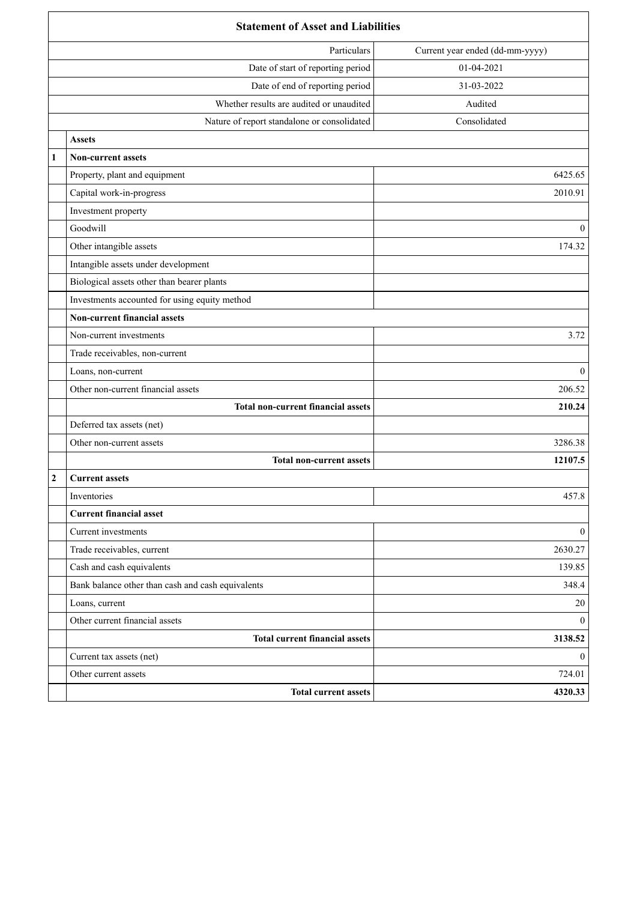| <b>Statement of Asset and Liabilities</b>         |                                 |  |
|---------------------------------------------------|---------------------------------|--|
| Particulars                                       | Current year ended (dd-mm-yyyy) |  |
| Date of start of reporting period                 | 01-04-2021                      |  |
| Date of end of reporting period                   | 31-03-2022                      |  |
| Whether results are audited or unaudited          | Audited                         |  |
| Nature of report standalone or consolidated       | Consolidated                    |  |
| <b>Assets</b>                                     |                                 |  |
| 1<br><b>Non-current assets</b>                    |                                 |  |
| Property, plant and equipment                     | 6425.65                         |  |
| Capital work-in-progress                          | 2010.91                         |  |
| Investment property                               |                                 |  |
| Goodwill                                          | $\mathbf{0}$                    |  |
| Other intangible assets                           | 174.32                          |  |
| Intangible assets under development               |                                 |  |
| Biological assets other than bearer plants        |                                 |  |
| Investments accounted for using equity method     |                                 |  |
| <b>Non-current financial assets</b>               |                                 |  |
| Non-current investments                           | 3.72                            |  |
| Trade receivables, non-current                    |                                 |  |
| Loans, non-current                                | $\mathbf{0}$                    |  |
| Other non-current financial assets                | 206.52                          |  |
| <b>Total non-current financial assets</b>         | 210.24                          |  |
| Deferred tax assets (net)                         |                                 |  |
| Other non-current assets                          | 3286.38                         |  |
| <b>Total non-current assets</b>                   | 12107.5                         |  |
| $\boldsymbol{2}$<br><b>Current assets</b>         |                                 |  |
| Inventories                                       | 457.8                           |  |
| <b>Current financial asset</b>                    |                                 |  |
| Current investments                               | $\overline{0}$                  |  |
| Trade receivables, current                        | 2630.27                         |  |
| Cash and cash equivalents                         | 139.85                          |  |
| Bank balance other than cash and cash equivalents | 348.4                           |  |
| Loans, current                                    | 20                              |  |
| Other current financial assets                    | $\overline{0}$                  |  |
| <b>Total current financial assets</b>             | 3138.52                         |  |
| Current tax assets (net)                          | $\overline{0}$                  |  |
| Other current assets                              | 724.01                          |  |
| <b>Total current assets</b>                       | 4320.33                         |  |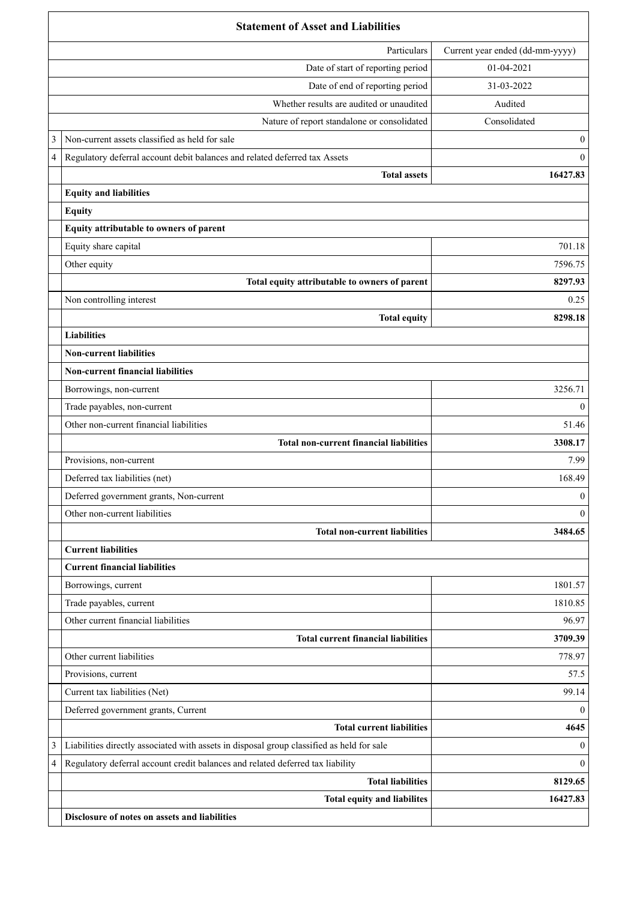|   | <b>Statement of Asset and Liabilities</b>                                                 |                                 |  |
|---|-------------------------------------------------------------------------------------------|---------------------------------|--|
|   | Particulars                                                                               | Current year ended (dd-mm-yyyy) |  |
|   | Date of start of reporting period                                                         | 01-04-2021                      |  |
|   | Date of end of reporting period                                                           | 31-03-2022                      |  |
|   | Whether results are audited or unaudited                                                  | Audited                         |  |
|   | Nature of report standalone or consolidated                                               | Consolidated                    |  |
| 3 | Non-current assets classified as held for sale                                            | $\mathbf{0}$                    |  |
| 4 | Regulatory deferral account debit balances and related deferred tax Assets                | $\mathbf{0}$                    |  |
|   | <b>Total assets</b>                                                                       | 16427.83                        |  |
|   | <b>Equity and liabilities</b>                                                             |                                 |  |
|   | <b>Equity</b>                                                                             |                                 |  |
|   | Equity attributable to owners of parent                                                   |                                 |  |
|   | Equity share capital                                                                      | 701.18                          |  |
|   | Other equity                                                                              | 7596.75                         |  |
|   | Total equity attributable to owners of parent                                             | 8297.93                         |  |
|   | Non controlling interest                                                                  | 0.25                            |  |
|   | <b>Total equity</b>                                                                       | 8298.18                         |  |
|   | <b>Liabilities</b>                                                                        |                                 |  |
|   | <b>Non-current liabilities</b>                                                            |                                 |  |
|   | <b>Non-current financial liabilities</b>                                                  |                                 |  |
|   | Borrowings, non-current                                                                   | 3256.71                         |  |
|   | Trade payables, non-current                                                               | $\theta$                        |  |
|   | Other non-current financial liabilities                                                   | 51.46                           |  |
|   | <b>Total non-current financial liabilities</b>                                            | 3308.17                         |  |
|   | Provisions, non-current                                                                   | 7.99                            |  |
|   | Deferred tax liabilities (net)                                                            | 168.49                          |  |
|   | Deferred government grants, Non-current                                                   | $\boldsymbol{0}$                |  |
|   | Other non-current liabilities                                                             | $\theta$                        |  |
|   | <b>Total non-current liabilities</b>                                                      | 3484.65                         |  |
|   | <b>Current liabilities</b>                                                                |                                 |  |
|   | <b>Current financial liabilities</b>                                                      |                                 |  |
|   | Borrowings, current                                                                       | 1801.57                         |  |
|   | Trade payables, current                                                                   | 1810.85                         |  |
|   | Other current financial liabilities                                                       | 96.97                           |  |
|   | <b>Total current financial liabilities</b>                                                | 3709.39                         |  |
|   | Other current liabilities                                                                 | 778.97                          |  |
|   | Provisions, current                                                                       | 57.5                            |  |
|   | Current tax liabilities (Net)                                                             | 99.14                           |  |
|   | Deferred government grants, Current                                                       | $\theta$                        |  |
|   | <b>Total current liabilities</b>                                                          | 4645                            |  |
| 3 | Liabilities directly associated with assets in disposal group classified as held for sale | $\theta$                        |  |
| 4 | Regulatory deferral account credit balances and related deferred tax liability            | $\theta$                        |  |
|   | <b>Total liabilities</b>                                                                  | 8129.65                         |  |
|   | Total equity and liabilites                                                               | 16427.83                        |  |
|   | Disclosure of notes on assets and liabilities                                             |                                 |  |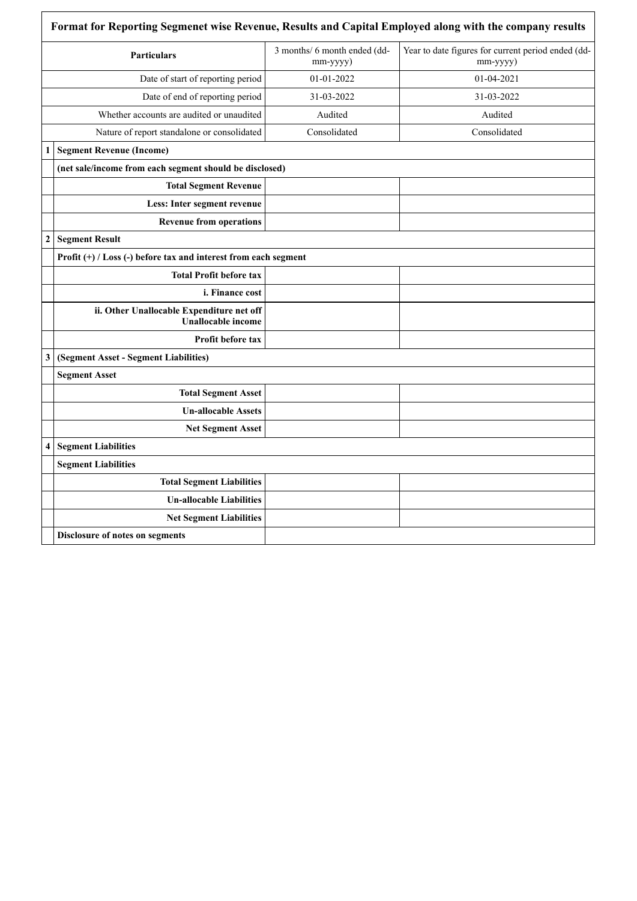|                  | <b>Particulars</b>                                                     | 3 months/ 6 month ended (dd-<br>mm-yyyy) | Year to date figures for current period ended (dd-<br>$mm$ -yyyy $)$ |
|------------------|------------------------------------------------------------------------|------------------------------------------|----------------------------------------------------------------------|
|                  | Date of start of reporting period                                      | 01-01-2022                               | 01-04-2021                                                           |
|                  | Date of end of reporting period                                        | 31-03-2022                               | 31-03-2022                                                           |
|                  | Whether accounts are audited or unaudited                              | Audited                                  | Audited                                                              |
|                  | Nature of report standalone or consolidated                            | Consolidated                             | Consolidated                                                         |
| 1                | <b>Segment Revenue (Income)</b>                                        |                                          |                                                                      |
|                  | (net sale/income from each segment should be disclosed)                |                                          |                                                                      |
|                  | <b>Total Segment Revenue</b>                                           |                                          |                                                                      |
|                  | Less: Inter segment revenue                                            |                                          |                                                                      |
|                  | <b>Revenue from operations</b>                                         |                                          |                                                                      |
| $\boldsymbol{2}$ | <b>Segment Result</b>                                                  |                                          |                                                                      |
|                  | Profit (+) / Loss (-) before tax and interest from each segment        |                                          |                                                                      |
|                  | <b>Total Profit before tax</b>                                         |                                          |                                                                      |
|                  | i. Finance cost                                                        |                                          |                                                                      |
|                  | ii. Other Unallocable Expenditure net off<br><b>Unallocable</b> income |                                          |                                                                      |
|                  | Profit before tax                                                      |                                          |                                                                      |
| 3                | (Segment Asset - Segment Liabilities)                                  |                                          |                                                                      |
|                  | <b>Segment Asset</b>                                                   |                                          |                                                                      |
|                  | <b>Total Segment Asset</b>                                             |                                          |                                                                      |
|                  | <b>Un-allocable Assets</b>                                             |                                          |                                                                      |
|                  | <b>Net Segment Asset</b>                                               |                                          |                                                                      |
| 4                | <b>Segment Liabilities</b>                                             |                                          |                                                                      |
|                  | <b>Segment Liabilities</b>                                             |                                          |                                                                      |
|                  | <b>Total Segment Liabilities</b>                                       |                                          |                                                                      |
|                  | <b>Un-allocable Liabilities</b>                                        |                                          |                                                                      |
|                  | <b>Net Segment Liabilities</b>                                         |                                          |                                                                      |
|                  | Disclosure of notes on segments                                        |                                          |                                                                      |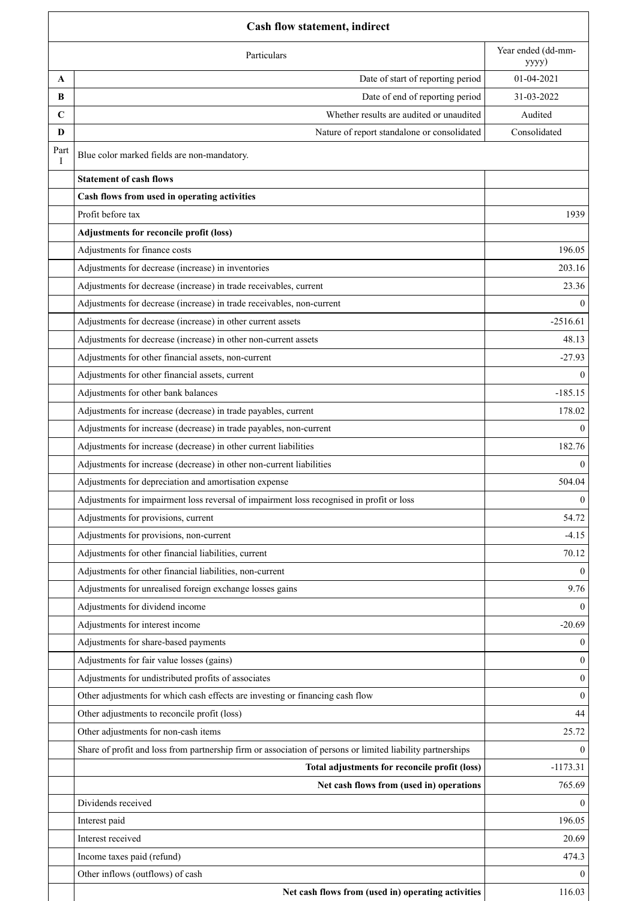|             | <b>Cash flow statement, indirect</b>                                                                       |                             |  |  |
|-------------|------------------------------------------------------------------------------------------------------------|-----------------------------|--|--|
|             | Particulars                                                                                                | Year ended (dd-mm-<br>yyyy) |  |  |
| A           | Date of start of reporting period                                                                          | 01-04-2021                  |  |  |
| B           | Date of end of reporting period                                                                            | 31-03-2022                  |  |  |
| $\mathbf C$ | Whether results are audited or unaudited                                                                   | Audited                     |  |  |
| D           | Nature of report standalone or consolidated                                                                | Consolidated                |  |  |
| Part<br>Ι   | Blue color marked fields are non-mandatory.                                                                |                             |  |  |
|             | <b>Statement of cash flows</b>                                                                             |                             |  |  |
|             | Cash flows from used in operating activities                                                               |                             |  |  |
|             | Profit before tax                                                                                          | 1939                        |  |  |
|             | Adjustments for reconcile profit (loss)                                                                    |                             |  |  |
|             | Adjustments for finance costs                                                                              | 196.05                      |  |  |
|             | Adjustments for decrease (increase) in inventories                                                         | 203.16                      |  |  |
|             | Adjustments for decrease (increase) in trade receivables, current                                          | 23.36                       |  |  |
|             | Adjustments for decrease (increase) in trade receivables, non-current                                      | $\Omega$                    |  |  |
|             | Adjustments for decrease (increase) in other current assets                                                | $-2516.61$                  |  |  |
|             | Adjustments for decrease (increase) in other non-current assets                                            | 48.13                       |  |  |
|             | Adjustments for other financial assets, non-current                                                        | $-27.93$                    |  |  |
|             | Adjustments for other financial assets, current                                                            | $\Omega$                    |  |  |
|             | Adjustments for other bank balances                                                                        | $-185.15$                   |  |  |
|             | Adjustments for increase (decrease) in trade payables, current                                             | 178.02                      |  |  |
|             | Adjustments for increase (decrease) in trade payables, non-current                                         | $\Omega$                    |  |  |
|             | Adjustments for increase (decrease) in other current liabilities                                           | 182.76                      |  |  |
|             | Adjustments for increase (decrease) in other non-current liabilities                                       | $\theta$                    |  |  |
|             | Adjustments for depreciation and amortisation expense                                                      | 504.04                      |  |  |
|             | Adjustments for impairment loss reversal of impairment loss recognised in profit or loss                   | $\overline{0}$              |  |  |
|             | Adjustments for provisions, current                                                                        | 54.72                       |  |  |
|             | Adjustments for provisions, non-current                                                                    | $-4.15$                     |  |  |
|             | Adjustments for other financial liabilities, current                                                       | 70.12                       |  |  |
|             | Adjustments for other financial liabilities, non-current                                                   | $\Omega$                    |  |  |
|             | Adjustments for unrealised foreign exchange losses gains                                                   | 9.76                        |  |  |
|             | Adjustments for dividend income                                                                            | $\Omega$                    |  |  |
|             | Adjustments for interest income                                                                            | $-20.69$                    |  |  |
|             | Adjustments for share-based payments                                                                       | $\theta$                    |  |  |
|             | Adjustments for fair value losses (gains)                                                                  | $\theta$                    |  |  |
|             | Adjustments for undistributed profits of associates                                                        | $\mathbf{0}$                |  |  |
|             | Other adjustments for which cash effects are investing or financing cash flow                              | $\theta$                    |  |  |
|             | Other adjustments to reconcile profit (loss)                                                               | 44                          |  |  |
|             | Other adjustments for non-cash items                                                                       | 25.72                       |  |  |
|             | Share of profit and loss from partnership firm or association of persons or limited liability partnerships | $\Omega$                    |  |  |
|             | Total adjustments for reconcile profit (loss)                                                              | $-1173.31$                  |  |  |
|             | Net cash flows from (used in) operations                                                                   | 765.69                      |  |  |
|             | Dividends received                                                                                         | $\theta$                    |  |  |
|             | Interest paid                                                                                              | 196.05                      |  |  |
|             | Interest received                                                                                          | 20.69                       |  |  |
|             | Income taxes paid (refund)                                                                                 | 474.3                       |  |  |
|             | Other inflows (outflows) of cash                                                                           | $\Omega$                    |  |  |
|             | Net cash flows from (used in) operating activities                                                         | 116.03                      |  |  |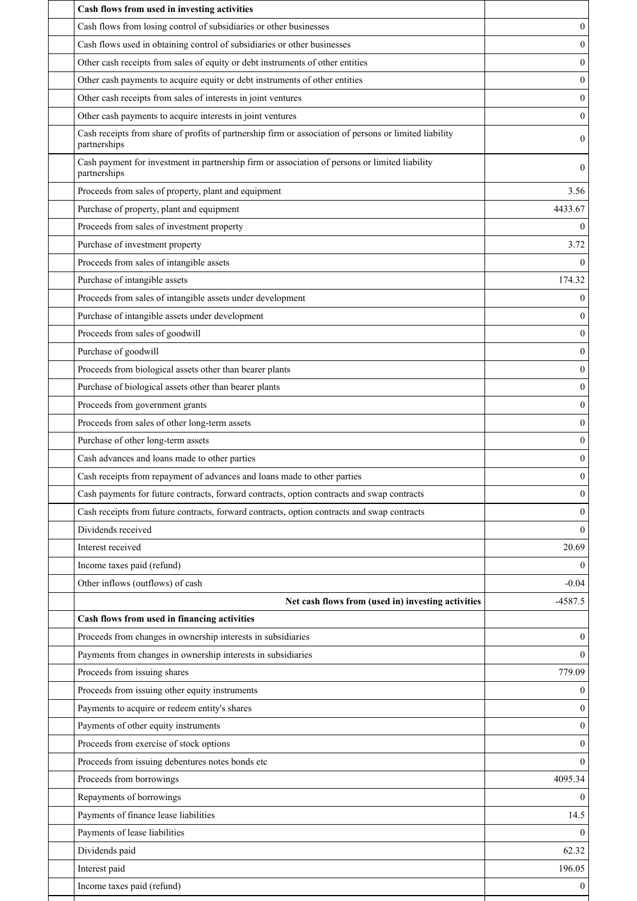| Cash flows from used in investing activities                                                                           |                  |
|------------------------------------------------------------------------------------------------------------------------|------------------|
| Cash flows from losing control of subsidiaries or other businesses                                                     | $\mathbf{0}$     |
| Cash flows used in obtaining control of subsidiaries or other businesses                                               | $\theta$         |
| Other cash receipts from sales of equity or debt instruments of other entities                                         | $\boldsymbol{0}$ |
| Other cash payments to acquire equity or debt instruments of other entities                                            | $\boldsymbol{0}$ |
| Other cash receipts from sales of interests in joint ventures                                                          | $\mathbf{0}$     |
| Other cash payments to acquire interests in joint ventures                                                             | $\boldsymbol{0}$ |
| Cash receipts from share of profits of partnership firm or association of persons or limited liability<br>partnerships | $\mathbf{0}$     |
| Cash payment for investment in partnership firm or association of persons or limited liability<br>partnerships         | 0                |
| Proceeds from sales of property, plant and equipment                                                                   | 3.56             |
| Purchase of property, plant and equipment                                                                              | 4433.67          |
| Proceeds from sales of investment property                                                                             | 0                |
| Purchase of investment property                                                                                        | 3.72             |
| Proceeds from sales of intangible assets                                                                               | $\Omega$         |
| Purchase of intangible assets                                                                                          | 174.32           |
| Proceeds from sales of intangible assets under development                                                             | $\mathbf{0}$     |
| Purchase of intangible assets under development                                                                        | $\Omega$         |
| Proceeds from sales of goodwill                                                                                        | $\boldsymbol{0}$ |
| Purchase of goodwill                                                                                                   | $\mathbf{0}$     |
| Proceeds from biological assets other than bearer plants                                                               | $\boldsymbol{0}$ |
| Purchase of biological assets other than bearer plants                                                                 | $\mathbf{0}$     |
| Proceeds from government grants                                                                                        | $\mathbf{0}$     |
| Proceeds from sales of other long-term assets                                                                          | $\mathbf{0}$     |
| Purchase of other long-term assets                                                                                     | $\mathbf{0}$     |
| Cash advances and loans made to other parties                                                                          | $\boldsymbol{0}$ |
| Cash receipts from repayment of advances and loans made to other parties                                               | $\mathbf{0}$     |
| Cash payments for future contracts, forward contracts, option contracts and swap contracts                             | 0                |
| Cash receipts from future contracts, forward contracts, option contracts and swap contracts                            | $\theta$         |
| Dividends received                                                                                                     | $\theta$         |
| Interest received                                                                                                      | 20.69            |
| Income taxes paid (refund)                                                                                             | $\mathbf{0}$     |
| Other inflows (outflows) of cash                                                                                       | $-0.04$          |
| Net cash flows from (used in) investing activities                                                                     | $-4587.5$        |
| Cash flows from used in financing activities                                                                           |                  |
| Proceeds from changes in ownership interests in subsidiaries                                                           | $\mathbf{0}$     |
| Payments from changes in ownership interests in subsidiaries                                                           | $\theta$         |
| Proceeds from issuing shares                                                                                           | 779.09           |
| Proceeds from issuing other equity instruments                                                                         | $\mathbf{0}$     |
| Payments to acquire or redeem entity's shares                                                                          | $\Omega$         |
| Payments of other equity instruments                                                                                   | $\boldsymbol{0}$ |
| Proceeds from exercise of stock options                                                                                | $\theta$         |
| Proceeds from issuing debentures notes bonds etc                                                                       | $\Omega$         |
| Proceeds from borrowings                                                                                               | 4095.34          |
| Repayments of borrowings                                                                                               | $\Omega$         |
| Payments of finance lease liabilities                                                                                  | 14.5             |
| Payments of lease liabilities                                                                                          | $\Omega$         |
| Dividends paid                                                                                                         | 62.32            |
| Interest paid                                                                                                          | 196.05           |
| Income taxes paid (refund)                                                                                             | $\mathbf{0}$     |
|                                                                                                                        |                  |